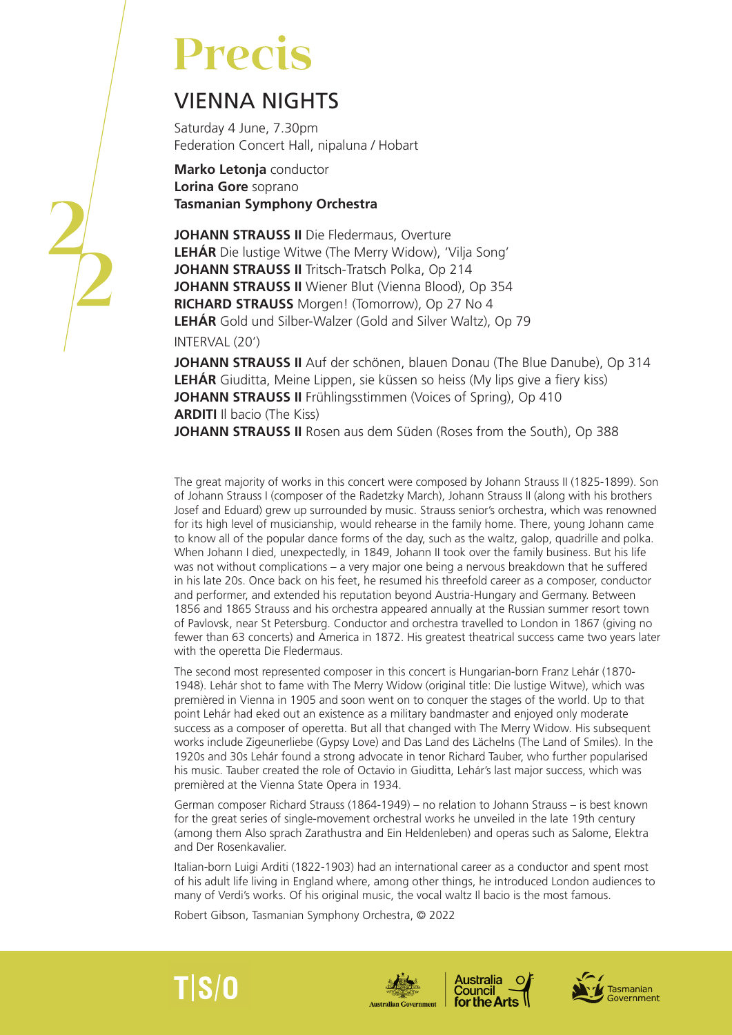# **Precis**

# VIENNA NIGHTS

Saturday 4 June, 7.30pm Federation Concert Hall, nipaluna / Hobart

**Marko Letonja** conductor **Lorina Gore** soprano **Tasmanian Symphony Orchestra**

**JOHANN STRAUSS II** Die Fledermaus, Overture **LEHÁR** Die lustige Witwe (The Merry Widow), 'Vilja Song' **JOHANN STRAUSS II** Tritsch-Tratsch Polka, Op 214 **JOHANN STRAUSS II** Wiener Blut (Vienna Blood), Op 354 **RICHARD STRAUSS** Morgen! (Tomorrow), Op 27 No 4 **LEHÁR** Gold und Silber-Walzer (Gold and Silver Waltz), Op 79 INTERVAL (20')

**JOHANN STRAUSS II** Auf der schönen, blauen Donau (The Blue Danube), Op 314 **LEHÁR** Giuditta, Meine Lippen, sie küssen so heiss (My lips give a fiery kiss) **JOHANN STRAUSS II** Frühlingsstimmen (Voices of Spring), Op 410 **ARDITI** Il bacio (The Kiss) JOHANN STRAUSS II Rosen aus dem Süden (Roses from the South), Op 388

The great majority of works in this concert were composed by Johann Strauss II (1825-1899). Son of Johann Strauss I (composer of the Radetzky March), Johann Strauss II (along with his brothers Josef and Eduard) grew up surrounded by music. Strauss senior's orchestra, which was renowned for its high level of musicianship, would rehearse in the family home. There, young Johann came to know all of the popular dance forms of the day, such as the waltz, galop, quadrille and polka. When Johann I died, unexpectedly, in 1849, Johann II took over the family business. But his life was not without complications – a very major one being a nervous breakdown that he suffered in his late 20s. Once back on his feet, he resumed his threefold career as a composer, conductor and performer, and extended his reputation beyond Austria-Hungary and Germany. Between 1856 and 1865 Strauss and his orchestra appeared annually at the Russian summer resort town of Pavlovsk, near St Petersburg. Conductor and orchestra travelled to London in 1867 (giving no fewer than 63 concerts) and America in 1872. His greatest theatrical success came two years later with the operetta Die Fledermaus.

The second most represented composer in this concert is Hungarian-born Franz Lehár (1870- 1948). Lehár shot to fame with The Merry Widow (original title: Die lustige Witwe), which was premièred in Vienna in 1905 and soon went on to conquer the stages of the world. Up to that point Lehár had eked out an existence as a military bandmaster and enjoyed only moderate success as a composer of operetta. But all that changed with The Merry Widow. His subsequent works include Zigeunerliebe (Gypsy Love) and Das Land des Lächelns (The Land of Smiles). In the 1920s and 30s Lehár found a strong advocate in tenor Richard Tauber, who further popularised his music. Tauber created the role of Octavio in Giuditta, Lehár's last major success, which was premièred at the Vienna State Opera in 1934.

German composer Richard Strauss (1864-1949) – no relation to Johann Strauss – is best known for the great series of single-movement orchestral works he unveiled in the late 19th century (among them Also sprach Zarathustra and Ein Heldenleben) and operas such as Salome, Elektra and Der Rosenkavalier.

Italian-born Luigi Arditi (1822-1903) had an international career as a conductor and spent most of his adult life living in England where, among other things, he introduced London audiences to many of Verdi's works. Of his original music, the vocal waltz Il bacio is the most famous.

Robert Gibson, Tasmanian Symphony Orchestra, © 2022